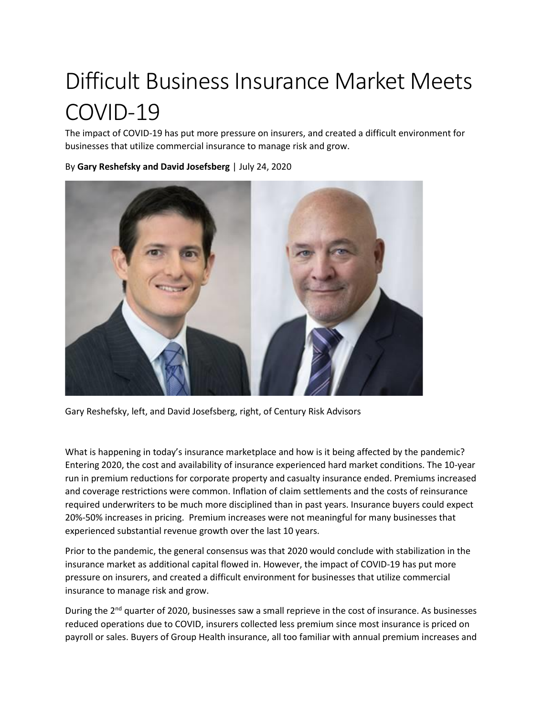## Difficult Business Insurance Market Meets COVID-19

The impact of COVID-19 has put more pressure on insurers, and created a difficult environment for businesses that utilize commercial insurance to manage risk and grow.

By **Gary Reshefsky and David Josefsberg** | July 24, 2020



Gary Reshefsky, left, and David Josefsberg, right, of Century Risk Advisors

What is happening in today's insurance marketplace and how is it being affected by the pandemic? Entering 2020, the cost and availability of insurance experienced hard market conditions. The 10-year run in premium reductions for corporate property and casualty insurance ended. Premiums increased and coverage restrictions were common. Inflation of claim settlements and the costs of reinsurance required underwriters to be much more disciplined than in past years. Insurance buyers could expect 20%-50% increases in pricing. Premium increases were not meaningful for many businesses that experienced substantial revenue growth over the last 10 years.

Prior to the pandemic, the general consensus was that 2020 would conclude with stabilization in the insurance market as additional capital flowed in. However, the impact of COVID-19 has put more pressure on insurers, and created a difficult environment for businesses that utilize commercial insurance to manage risk and grow.

During the 2<sup>nd</sup> quarter of 2020, businesses saw a small reprieve in the cost of insurance. As businesses reduced operations due to COVID, insurers collected less premium since most insurance is priced on payroll or sales. Buyers of Group Health insurance, all too familiar with annual premium increases and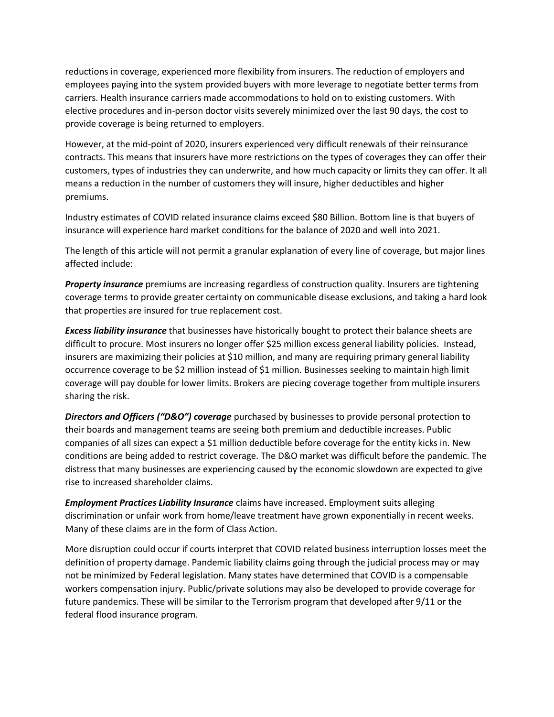reductions in coverage, experienced more flexibility from insurers. The reduction of employers and employees paying into the system provided buyers with more leverage to negotiate better terms from carriers. Health insurance carriers made accommodations to hold on to existing customers. With elective procedures and in-person doctor visits severely minimized over the last 90 days, the cost to provide coverage is being returned to employers.

However, at the mid-point of 2020, insurers experienced very difficult renewals of their reinsurance contracts. This means that insurers have more restrictions on the types of coverages they can offer their customers, types of industries they can underwrite, and how much capacity or limits they can offer. It all means a reduction in the number of customers they will insure, higher deductibles and higher premiums.

Industry estimates of COVID related insurance claims exceed \$80 Billion. Bottom line is that buyers of insurance will experience hard market conditions for the balance of 2020 and well into 2021.

The length of this article will not permit a granular explanation of every line of coverage, but major lines affected include:

*Property insurance* premiums are increasing regardless of construction quality. Insurers are tightening coverage terms to provide greater certainty on communicable disease exclusions, and taking a hard look that properties are insured for true replacement cost.

*Excess liability insurance* that businesses have historically bought to protect their balance sheets are difficult to procure. Most insurers no longer offer \$25 million excess general liability policies. Instead, insurers are maximizing their policies at \$10 million, and many are requiring primary general liability occurrence coverage to be \$2 million instead of \$1 million. Businesses seeking to maintain high limit coverage will pay double for lower limits. Brokers are piecing coverage together from multiple insurers sharing the risk.

*Directors and Officers ("D&O") coverage* purchased by businesses to provide personal protection to their boards and management teams are seeing both premium and deductible increases. Public companies of all sizes can expect a \$1 million deductible before coverage for the entity kicks in. New conditions are being added to restrict coverage. The D&O market was difficult before the pandemic. The distress that many businesses are experiencing caused by the economic slowdown are expected to give rise to increased shareholder claims.

*Employment Practices Liability Insurance* claims have increased. Employment suits alleging discrimination or unfair work from home/leave treatment have grown exponentially in recent weeks. Many of these claims are in the form of Class Action.

More disruption could occur if courts interpret that COVID related business interruption losses meet the definition of property damage. Pandemic liability claims going through the judicial process may or may not be minimized by Federal legislation. Many states have determined that COVID is a compensable workers compensation injury. Public/private solutions may also be developed to provide coverage for future pandemics. These will be similar to the Terrorism program that developed after 9/11 or the federal flood insurance program.